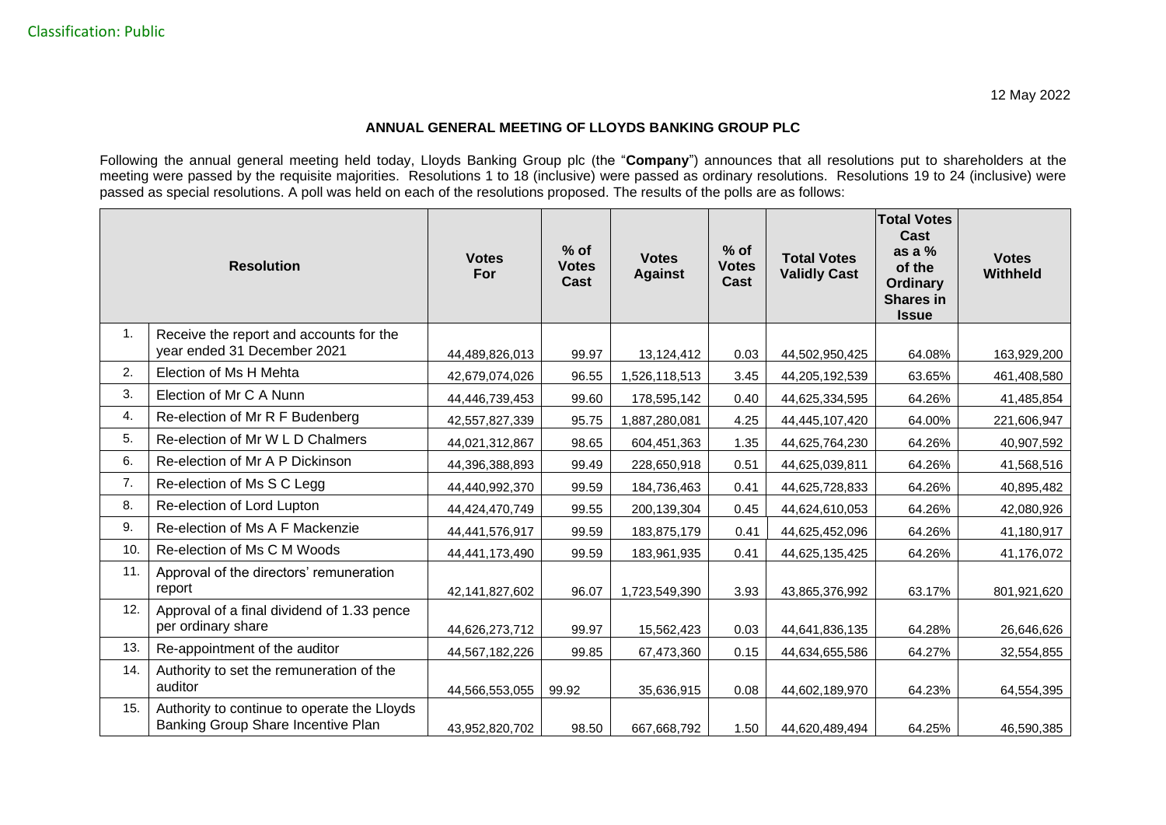## **ANNUAL GENERAL MEETING OF LLOYDS BANKING GROUP PLC**

Following the annual general meeting held today, Lloyds Banking Group plc (the "**Company**") announces that all resolutions put to shareholders at the meeting were passed by the requisite majorities. Resolutions 1 to 18 (inclusive) were passed as ordinary resolutions. Resolutions 19 to 24 (inclusive) were passed as special resolutions. A poll was held on each of the resolutions proposed. The results of the polls are as follows:

|     | <b>Resolution</b>                                                                 | <b>Votes</b><br><b>For</b> | $%$ of<br><b>Votes</b><br>Cast | <b>Votes</b><br><b>Against</b> | $%$ of<br><b>Votes</b><br>Cast | <b>Total Votes</b><br><b>Validly Cast</b> | <b>Total Votes</b><br>Cast<br>as a $%$<br>of the<br><b>Ordinary</b><br><b>Shares in</b><br><b>Issue</b> | <b>Votes</b><br>Withheld |
|-----|-----------------------------------------------------------------------------------|----------------------------|--------------------------------|--------------------------------|--------------------------------|-------------------------------------------|---------------------------------------------------------------------------------------------------------|--------------------------|
| 1.  | Receive the report and accounts for the<br>year ended 31 December 2021            | 44,489,826,013             | 99.97                          | 13,124,412                     | 0.03                           | 44,502,950,425                            | 64.08%                                                                                                  | 163,929,200              |
| 2.  | Election of Ms H Mehta                                                            | 42,679,074,026             | 96.55                          | ,526,118,513                   | 3.45                           | 44,205,192,539                            | 63.65%                                                                                                  | 461,408,580              |
| 3.  | Election of Mr C A Nunn                                                           | 44,446,739,453             | 99.60                          | 178,595,142                    | 0.40                           | 44,625,334,595                            | 64.26%                                                                                                  | 41,485,854               |
| 4.  | Re-election of Mr R F Budenberg                                                   | 42,557,827,339             | 95.75                          | ,887,280,081                   | 4.25                           | 44,445,107,420                            | 64.00%                                                                                                  | 221,606,947              |
| 5.  | Re-election of Mr W L D Chalmers                                                  | 44,021,312,867             | 98.65                          | 604,451,363                    | 1.35                           | 44,625,764,230                            | 64.26%                                                                                                  | 40,907,592               |
| 6.  | Re-election of Mr A P Dickinson                                                   | 44,396,388,893             | 99.49                          | 228,650,918                    | 0.51                           | 44,625,039,811                            | 64.26%                                                                                                  | 41,568,516               |
| 7.  | Re-election of Ms S C Legg                                                        | 44,440,992,370             | 99.59                          | 184,736,463                    | 0.41                           | 44,625,728,833                            | 64.26%                                                                                                  | 40,895,482               |
| 8.  | Re-election of Lord Lupton                                                        | 44,424,470,749             | 99.55                          | 200,139,304                    | 0.45                           | 44,624,610,053                            | 64.26%                                                                                                  | 42,080,926               |
| 9.  | Re-election of Ms A F Mackenzie                                                   | 44,441,576,917             | 99.59                          | 183,875,179                    | 0.41                           | 44,625,452,096                            | 64.26%                                                                                                  | 41,180,917               |
| 10. | Re-election of Ms C M Woods                                                       | 44,441,173,490             | 99.59                          | 183,961,935                    | 0.41                           | 44,625,135,425                            | 64.26%                                                                                                  | 41,176,072               |
| 11. | Approval of the directors' remuneration<br>report                                 | 42,141,827,602             | 96.07                          | 1,723,549,390                  | 3.93                           | 43,865,376,992                            | 63.17%                                                                                                  | 801,921,620              |
| 12. | Approval of a final dividend of 1.33 pence<br>per ordinary share                  | 44,626,273,712             | 99.97                          | 15,562,423                     | 0.03                           | 44,641,836,135                            | 64.28%                                                                                                  | 26,646,626               |
| 13. | Re-appointment of the auditor                                                     | 44,567,182,226             | 99.85                          | 67,473,360                     | 0.15                           | 44,634,655,586                            | 64.27%                                                                                                  | 32,554,855               |
| 14. | Authority to set the remuneration of the<br>auditor                               | 44,566,553,055             | 99.92                          | 35,636,915                     | 0.08                           | 44,602,189,970                            | 64.23%                                                                                                  | 64,554,395               |
| 15. | Authority to continue to operate the Lloyds<br>Banking Group Share Incentive Plan | 43,952,820,702             | 98.50                          | 667,668,792                    | 1.50                           | 44,620,489,494                            | 64.25%                                                                                                  | 46,590,385               |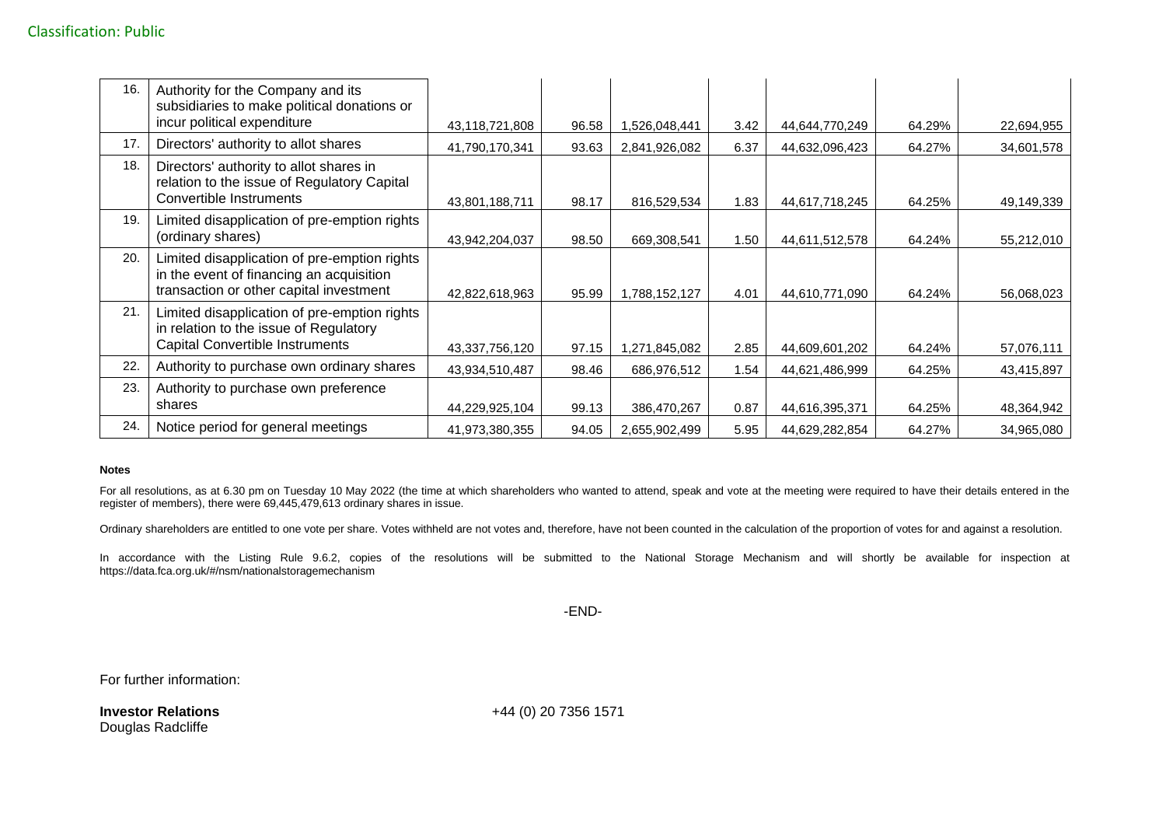| 16. | Authority for the Company and its<br>subsidiaries to make political donations or<br>incur political expenditure                     | 43,118,721,808 | 96.58 | ,526,048,441  | 3.42 | 44,644,770,249 | 64.29% | 22,694,955 |
|-----|-------------------------------------------------------------------------------------------------------------------------------------|----------------|-------|---------------|------|----------------|--------|------------|
| 17. | Directors' authority to allot shares                                                                                                | 41,790,170,341 | 93.63 | 2,841,926,082 | 6.37 | 44,632,096,423 | 64.27% | 34,601,578 |
| 18. | Directors' authority to allot shares in<br>relation to the issue of Regulatory Capital<br>Convertible Instruments                   | 43,801,188,711 | 98.17 | 816,529,534   | 1.83 | 44,617,718,245 | 64.25% | 49,149,339 |
| 19. | Limited disapplication of pre-emption rights<br>(ordinary shares)                                                                   | 43,942,204,037 | 98.50 | 669,308,541   | 1.50 | 44,611,512,578 | 64.24% | 55,212,010 |
| 20. | Limited disapplication of pre-emption rights<br>in the event of financing an acquisition<br>transaction or other capital investment | 42,822,618,963 | 95.99 | 1,788,152,127 | 4.01 | 44,610,771,090 | 64.24% | 56,068,023 |
| 21  | Limited disapplication of pre-emption rights<br>in relation to the issue of Regulatory<br><b>Capital Convertible Instruments</b>    | 43,337,756,120 | 97.15 | ,271,845,082  | 2.85 | 44,609,601,202 | 64.24% | 57,076,111 |
| 22  | Authority to purchase own ordinary shares                                                                                           | 43,934,510,487 | 98.46 | 686,976,512   | 1.54 | 44,621,486,999 | 64.25% | 43,415,897 |
| 23. | Authority to purchase own preference<br>shares                                                                                      | 44,229,925,104 | 99.13 | 386,470,267   | 0.87 | 44,616,395,371 | 64.25% | 48,364,942 |
| 24. | Notice period for general meetings                                                                                                  | 41,973,380,355 | 94.05 | 2,655,902,499 | 5.95 | 44,629,282,854 | 64.27% | 34,965,080 |

## **Notes**

For all resolutions, as at 6.30 pm on Tuesday 10 May 2022 (the time at which shareholders who wanted to attend, speak and vote at the meeting were required to have their details entered in the register of members), there were 69,445,479,613 ordinary shares in issue.

Ordinary shareholders are entitled to one vote per share. Votes withheld are not votes and, therefore, have not been counted in the calculation of the proportion of votes for and against a resolution.

In accordance with the Listing Rule 9.6.2, copies of the resolutions will be submitted to the National Storage Mechanism and will shortly be available for inspection at https://data.fca.org.uk/#/nsm/nationalstoragemechanism

-END-

For further information:

**Investor Relations** Douglas Radcliffe

+44 (0) 20 7356 1571